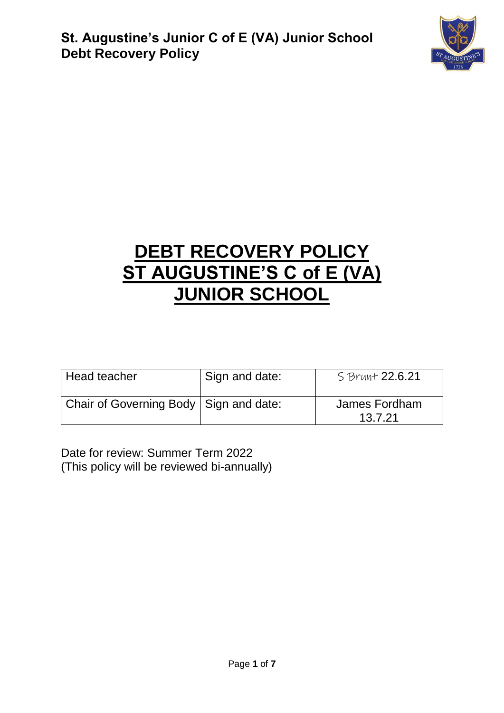

# **DEBT RECOVERY POLICY ST AUGUSTINE'S C of E (VA) JUNIOR SCHOOL**

| Head teacher                             | Sign and date: | S Brunt 22.6.21          |
|------------------------------------------|----------------|--------------------------|
| Chair of Governing Body   Sign and date: |                | James Fordham<br>13.7.21 |

Date for review: Summer Term 2022 (This policy will be reviewed bi-annually)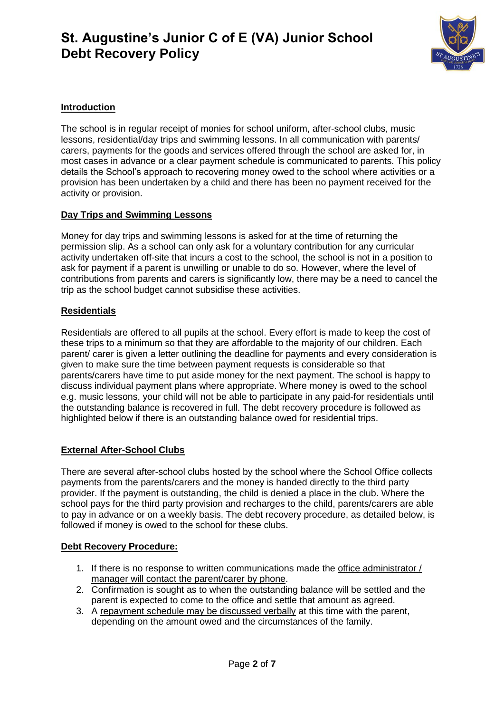

### **Introduction**

The school is in regular receipt of monies for school uniform, after-school clubs, music lessons, residential/day trips and swimming lessons. In all communication with parents/ carers, payments for the goods and services offered through the school are asked for, in most cases in advance or a clear payment schedule is communicated to parents. This policy details the School's approach to recovering money owed to the school where activities or a provision has been undertaken by a child and there has been no payment received for the activity or provision.

#### **Day Trips and Swimming Lessons**

Money for day trips and swimming lessons is asked for at the time of returning the permission slip. As a school can only ask for a voluntary contribution for any curricular activity undertaken off-site that incurs a cost to the school, the school is not in a position to ask for payment if a parent is unwilling or unable to do so. However, where the level of contributions from parents and carers is significantly low, there may be a need to cancel the trip as the school budget cannot subsidise these activities.

#### **Residentials**

Residentials are offered to all pupils at the school. Every effort is made to keep the cost of these trips to a minimum so that they are affordable to the majority of our children. Each parent/ carer is given a letter outlining the deadline for payments and every consideration is given to make sure the time between payment requests is considerable so that parents/carers have time to put aside money for the next payment. The school is happy to discuss individual payment plans where appropriate. Where money is owed to the school e.g. music lessons, your child will not be able to participate in any paid-for residentials until the outstanding balance is recovered in full. The debt recovery procedure is followed as highlighted below if there is an outstanding balance owed for residential trips.

#### **External After-School Clubs**

There are several after-school clubs hosted by the school where the School Office collects payments from the parents/carers and the money is handed directly to the third party provider. If the payment is outstanding, the child is denied a place in the club. Where the school pays for the third party provision and recharges to the child, parents/carers are able to pay in advance or on a weekly basis. The debt recovery procedure, as detailed below, is followed if money is owed to the school for these clubs.

#### **Debt Recovery Procedure:**

- 1. If there is no response to written communications made the office administrator / manager will contact the parent/carer by phone.
- 2. Confirmation is sought as to when the outstanding balance will be settled and the parent is expected to come to the office and settle that amount as agreed.
- 3. A repayment schedule may be discussed verbally at this time with the parent, depending on the amount owed and the circumstances of the family.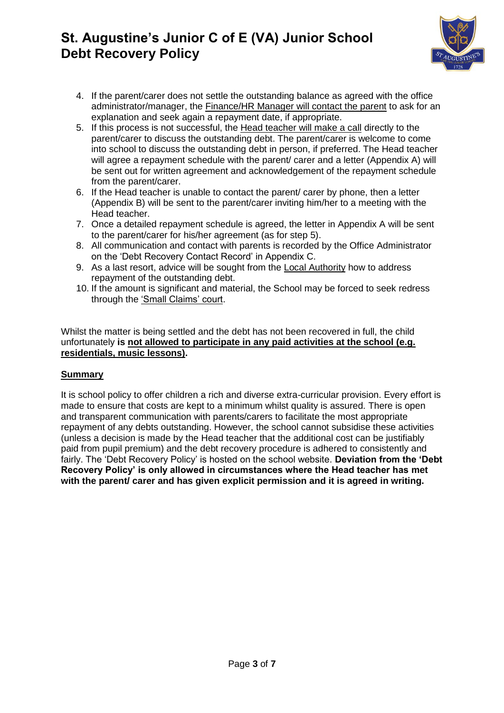

- 4. If the parent/carer does not settle the outstanding balance as agreed with the office administrator/manager, the Finance/HR Manager will contact the parent to ask for an explanation and seek again a repayment date, if appropriate.
- 5. If this process is not successful, the Head teacher will make a call directly to the parent/carer to discuss the outstanding debt. The parent/carer is welcome to come into school to discuss the outstanding debt in person, if preferred. The Head teacher will agree a repayment schedule with the parent/ carer and a letter (Appendix A) will be sent out for written agreement and acknowledgement of the repayment schedule from the parent/carer.
- 6. If the Head teacher is unable to contact the parent/ carer by phone, then a letter (Appendix B) will be sent to the parent/carer inviting him/her to a meeting with the Head teacher.
- 7. Once a detailed repayment schedule is agreed, the letter in Appendix A will be sent to the parent/carer for his/her agreement (as for step 5).
- 8. All communication and contact with parents is recorded by the Office Administrator on the 'Debt Recovery Contact Record' in Appendix C.
- 9. As a last resort, advice will be sought from the Local Authority how to address repayment of the outstanding debt.
- 10. If the amount is significant and material, the School may be forced to seek redress through the 'Small Claims' court.

Whilst the matter is being settled and the debt has not been recovered in full, the child unfortunately **is not allowed to participate in any paid activities at the school (e.g. residentials, music lessons).**

#### **Summary**

It is school policy to offer children a rich and diverse extra-curricular provision. Every effort is made to ensure that costs are kept to a minimum whilst quality is assured. There is open and transparent communication with parents/carers to facilitate the most appropriate repayment of any debts outstanding. However, the school cannot subsidise these activities (unless a decision is made by the Head teacher that the additional cost can be justifiably paid from pupil premium) and the debt recovery procedure is adhered to consistently and fairly. The 'Debt Recovery Policy' is hosted on the school website. **Deviation from the 'Debt Recovery Policy' is only allowed in circumstances where the Head teacher has met with the parent/ carer and has given explicit permission and it is agreed in writing.**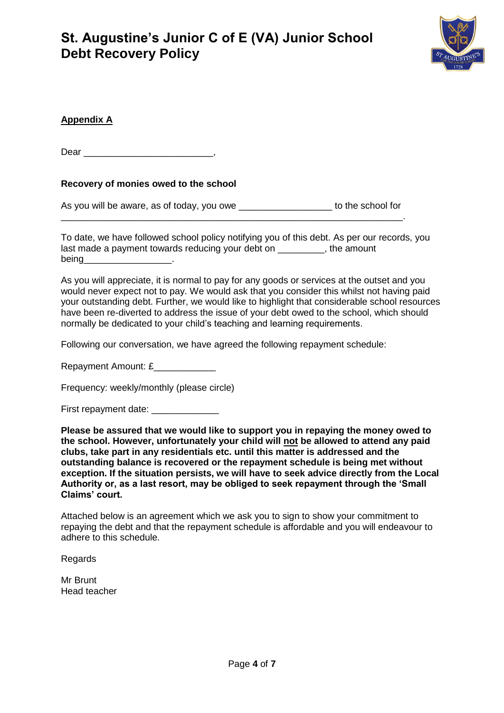

### **Appendix A**

Dear **Dear** and the set of the set of the set of the set of the set of the set of the set of the set of the set of the set of the set of the set of the set of the set of the set of the set of the set of the set of the set

#### **Recovery of monies owed to the school**

As you will be aware, as of today, you owe \_\_\_\_\_\_\_\_\_\_\_\_\_\_\_\_\_\_\_\_\_\_ to the school for \_\_\_\_\_\_\_\_\_\_\_\_\_\_\_\_\_\_\_\_\_\_\_\_\_\_\_\_\_\_\_\_\_\_\_\_\_\_\_\_\_\_\_\_\_\_\_\_\_\_\_\_\_\_\_\_\_\_\_\_\_\_\_\_\_\_.

To date, we have followed school policy notifying you of this debt. As per our records, you last made a payment towards reducing your debt on \_\_\_\_\_\_\_\_\_, the amount being \_\_\_\_\_\_\_\_\_\_\_\_\_\_\_\_.

As you will appreciate, it is normal to pay for any goods or services at the outset and you would never expect not to pay. We would ask that you consider this whilst not having paid your outstanding debt. Further, we would like to highlight that considerable school resources have been re-diverted to address the issue of your debt owed to the school, which should normally be dedicated to your child's teaching and learning requirements.

Following our conversation, we have agreed the following repayment schedule:

Repayment Amount: £\_\_\_\_\_\_\_\_\_\_

Frequency: weekly/monthly (please circle)

First repayment date: \_\_\_\_\_\_\_\_\_\_\_\_\_

**Please be assured that we would like to support you in repaying the money owed to the school. However, unfortunately your child will not be allowed to attend any paid clubs, take part in any residentials etc. until this matter is addressed and the outstanding balance is recovered or the repayment schedule is being met without exception. If the situation persists, we will have to seek advice directly from the Local Authority or, as a last resort, may be obliged to seek repayment through the 'Small Claims' court.**

Attached below is an agreement which we ask you to sign to show your commitment to repaying the debt and that the repayment schedule is affordable and you will endeavour to adhere to this schedule.

Regards

Mr Brunt Head teacher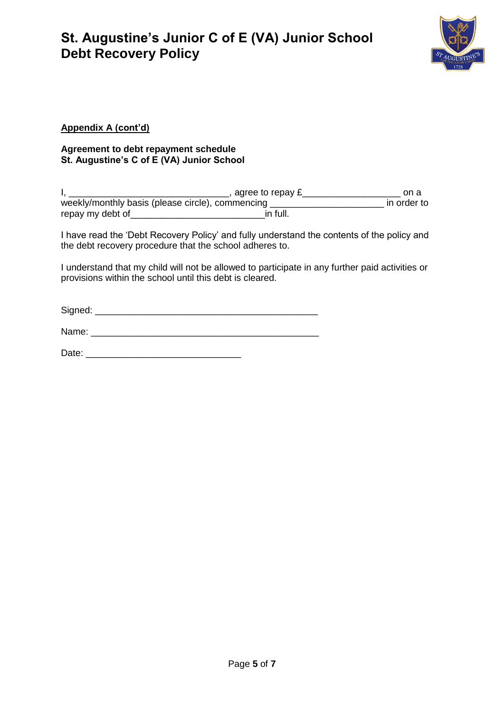

### **Appendix A (cont'd)**

#### **Agreement to debt repayment schedule St. Augustine's C of E (VA) Junior School**

|                                                  | , agree to repay $\mathfrak{k}_-$ | on a        |
|--------------------------------------------------|-----------------------------------|-------------|
| weekly/monthly basis (please circle), commencing |                                   | in order to |
| repay my debt of                                 | in full.                          |             |

I have read the 'Debt Recovery Policy' and fully understand the contents of the policy and the debt recovery procedure that the school adheres to.

I understand that my child will not be allowed to participate in any further paid activities or provisions within the school until this debt is cleared.

Signed:

Name:  $\blacksquare$ 

Date: \_\_\_\_\_\_\_\_\_\_\_\_\_\_\_\_\_\_\_\_\_\_\_\_\_\_\_\_\_\_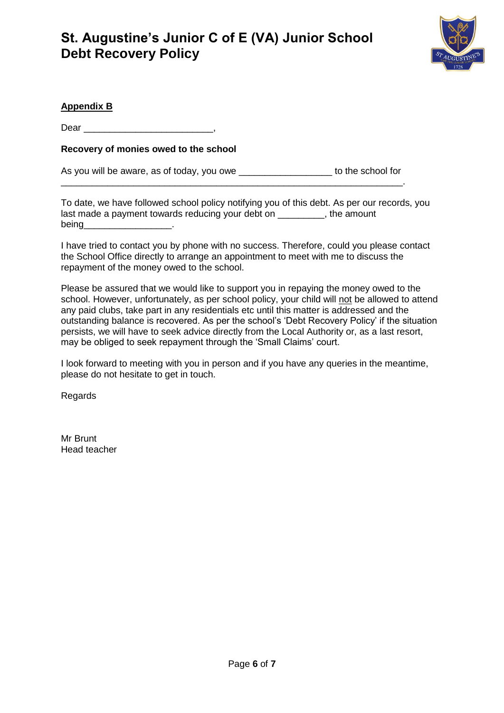

### **Appendix B**

Dear \_\_\_\_\_\_\_\_\_\_\_\_\_\_\_\_\_\_\_\_\_\_\_\_\_\_\_\_\_\_\_\_\_,

#### **Recovery of monies owed to the school**

As you will be aware, as of today, you owe \_\_\_\_\_\_\_\_\_\_\_\_\_\_\_\_\_\_\_\_\_\_\_ to the school for \_\_\_\_\_\_\_\_\_\_\_\_\_\_\_\_\_\_\_\_\_\_\_\_\_\_\_\_\_\_\_\_\_\_\_\_\_\_\_\_\_\_\_\_\_\_\_\_\_\_\_\_\_\_\_\_\_\_\_\_\_\_\_\_\_\_.

To date, we have followed school policy notifying you of this debt. As per our records, you last made a payment towards reducing your debt on \_\_\_\_\_\_\_\_, the amount being the control of the control of the control of the control of the control of the control of the control of the control of the control of the control of the control of the control of the control of the control of the co

I have tried to contact you by phone with no success. Therefore, could you please contact the School Office directly to arrange an appointment to meet with me to discuss the repayment of the money owed to the school.

Please be assured that we would like to support you in repaying the money owed to the school. However, unfortunately, as per school policy, your child will not be allowed to attend any paid clubs, take part in any residentials etc until this matter is addressed and the outstanding balance is recovered. As per the school's 'Debt Recovery Policy' if the situation persists, we will have to seek advice directly from the Local Authority or, as a last resort, may be obliged to seek repayment through the 'Small Claims' court.

I look forward to meeting with you in person and if you have any queries in the meantime, please do not hesitate to get in touch.

**Regards** 

Mr Brunt Head teacher